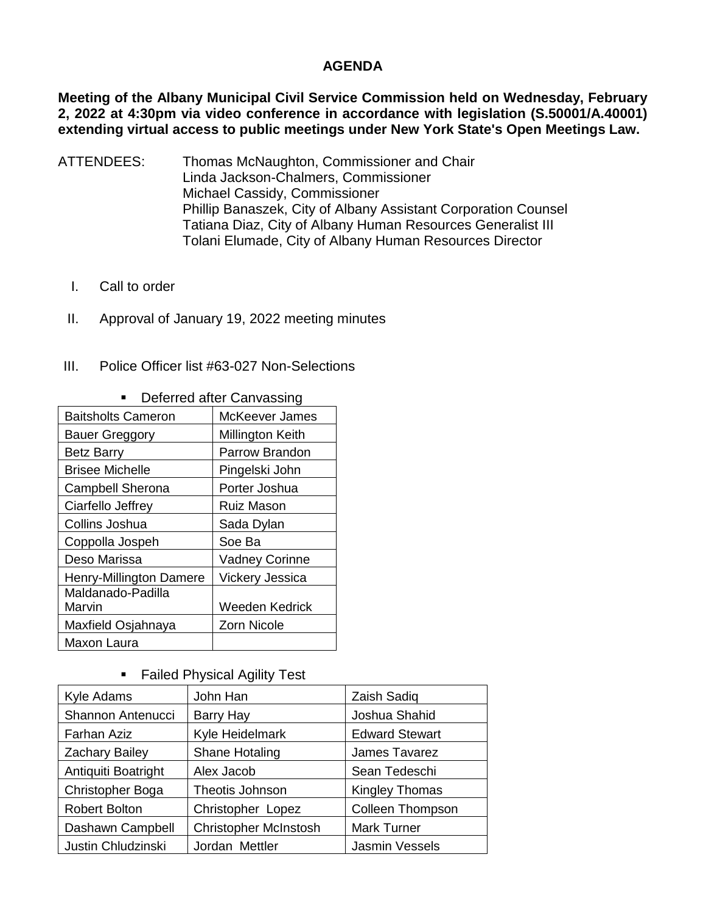## **AGENDA**

**Meeting of the Albany Municipal Civil Service Commission held on Wednesday, February 2, 2022 at 4:30pm via video conference in accordance with legislation (S.50001/A.40001) extending virtual access to public meetings under New York State's Open Meetings Law.** 

- ATTENDEES: Thomas McNaughton, Commissioner and Chair Linda Jackson-Chalmers, Commissioner Michael Cassidy, Commissioner Phillip Banaszek, City of Albany Assistant Corporation Counsel Tatiana Diaz, City of Albany Human Resources Generalist III Tolani Elumade, City of Albany Human Resources Director
	- I. Call to order
	- II. Approval of January 19, 2022 meeting minutes
- III. Police Officer list #63-027 Non-Selections

| <b>Baitsholts Cameron</b> | McKeever James        |
|---------------------------|-----------------------|
| <b>Bauer Greggory</b>     | Millington Keith      |
| <b>Betz Barry</b>         | Parrow Brandon        |
| <b>Brisee Michelle</b>    | Pingelski John        |
| <b>Campbell Sherona</b>   | Porter Joshua         |
| Ciarfello Jeffrey         | <b>Ruiz Mason</b>     |
| Collins Joshua            | Sada Dylan            |
| Coppolla Jospeh           | Soe Ba                |
| Deso Marissa              | <b>Vadney Corinne</b> |
| Henry-Millington Damere   | Vickery Jessica       |
| Maldanado-Padilla         |                       |
| Marvin                    | Weeden Kedrick        |
| Maxfield Osjahnaya        | <b>Zorn Nicole</b>    |
| Maxon Laura               |                       |

## • Deferred after Canvassing

**Failed Physical Agility Test** 

| Kyle Adams            | John Han                     | Zaish Sadiq             |
|-----------------------|------------------------------|-------------------------|
| Shannon Antenucci     | Barry Hay                    | Joshua Shahid           |
| Farhan Aziz           | Kyle Heidelmark              | <b>Edward Stewart</b>   |
| <b>Zachary Bailey</b> | Shane Hotaling               | James Tavarez           |
| Antiquiti Boatright   | Alex Jacob                   | Sean Tedeschi           |
| Christopher Boga      | Theotis Johnson              | <b>Kingley Thomas</b>   |
| <b>Robert Bolton</b>  | Christopher Lopez            | <b>Colleen Thompson</b> |
| Dashawn Campbell      | <b>Christopher McInstosh</b> | <b>Mark Turner</b>      |
| Justin Chludzinski    | Jordan Mettler               | Jasmin Vessels          |